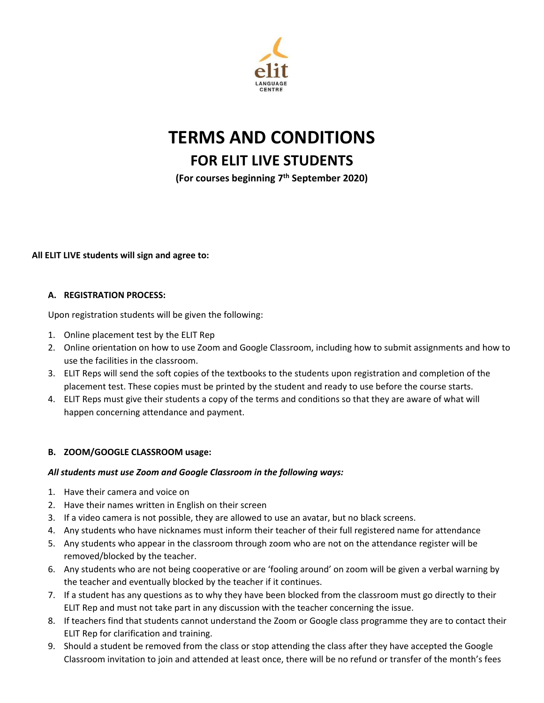

# **TERMS AND CONDITIONS**

# **FOR ELIT LIVE STUDENTS**

**(For courses beginning 7th September 2020)**

#### **All ELIT LIVE students will sign and agree to:**

#### **A. REGISTRATION PROCESS:**

Upon registration students will be given the following:

- 1. Online placement test by the ELIT Rep
- 2. Online orientation on how to use Zoom and Google Classroom, including how to submit assignments and how to use the facilities in the classroom.
- 3. ELIT Reps will send the soft copies of the textbooks to the students upon registration and completion of the placement test. These copies must be printed by the student and ready to use before the course starts.
- 4. ELIT Reps must give their students a copy of the terms and conditions so that they are aware of what will happen concerning attendance and payment.

## **B. ZOOM/GOOGLE CLASSROOM usage:**

#### *All students must use Zoom and Google Classroom in the following ways:*

- 1. Have their camera and voice on
- 2. Have their names written in English on their screen
- 3. If a video camera is not possible, they are allowed to use an avatar, but no black screens.
- 4. Any students who have nicknames must inform their teacher of their full registered name for attendance
- 5. Any students who appear in the classroom through zoom who are not on the attendance register will be removed/blocked by the teacher.
- 6. Any students who are not being cooperative or are 'fooling around' on zoom will be given a verbal warning by the teacher and eventually blocked by the teacher if it continues.
- 7. If a student has any questions as to why they have been blocked from the classroom must go directly to their ELIT Rep and must not take part in any discussion with the teacher concerning the issue.
- 8. If teachers find that students cannot understand the Zoom or Google class programme they are to contact their ELIT Rep for clarification and training.
- 9. Should a student be removed from the class or stop attending the class after they have accepted the Google Classroom invitation to join and attended at least once, there will be no refund or transfer of the month's fees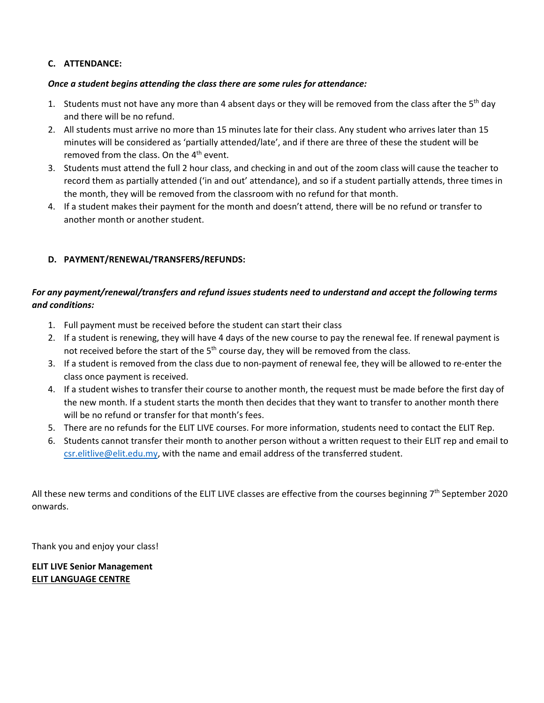#### **C. ATTENDANCE:**

#### *Once a student begins attending the class there are some rules for attendance:*

- 1. Students must not have any more than 4 absent days or they will be removed from the class after the 5<sup>th</sup> day and there will be no refund.
- 2. All students must arrive no more than 15 minutes late for their class. Any student who arrives later than 15 minutes will be considered as 'partially attended/late', and if there are three of these the student will be removed from the class. On the  $4<sup>th</sup>$  event.
- 3. Students must attend the full 2 hour class, and checking in and out of the zoom class will cause the teacher to record them as partially attended ('in and out' attendance), and so if a student partially attends, three times in the month, they will be removed from the classroom with no refund for that month.
- 4. If a student makes their payment for the month and doesn't attend, there will be no refund or transfer to another month or another student.

#### **D. PAYMENT/RENEWAL/TRANSFERS/REFUNDS:**

### *For any payment/renewal/transfers and refund issues students need to understand and accept the following terms and conditions:*

- 1. Full payment must be received before the student can start their class
- 2. If a student is renewing, they will have 4 days of the new course to pay the renewal fee. If renewal payment is not received before the start of the  $5<sup>th</sup>$  course day, they will be removed from the class.
- 3. If a student is removed from the class due to non-payment of renewal fee, they will be allowed to re-enter the class once payment is received.
- 4. If a student wishes to transfer their course to another month, the request must be made before the first day of the new month. If a student starts the month then decides that they want to transfer to another month there will be no refund or transfer for that month's fees.
- 5. There are no refunds for the ELIT LIVE courses. For more information, students need to contact the ELIT Rep.
- 6. Students cannot transfer their month to another person without a written request to their ELIT rep and email to [csr.elitlive@elit.edu.my,](mailto:csr.elitlive@elit.edu.my) with the name and email address of the transferred student.

All these new terms and conditions of the ELIT LIVE classes are effective from the courses beginning  $7<sup>th</sup>$  September 2020 onwards.

Thank you and enjoy your class!

#### **ELIT LIVE Senior Management ELIT LANGUAGE CENTRE**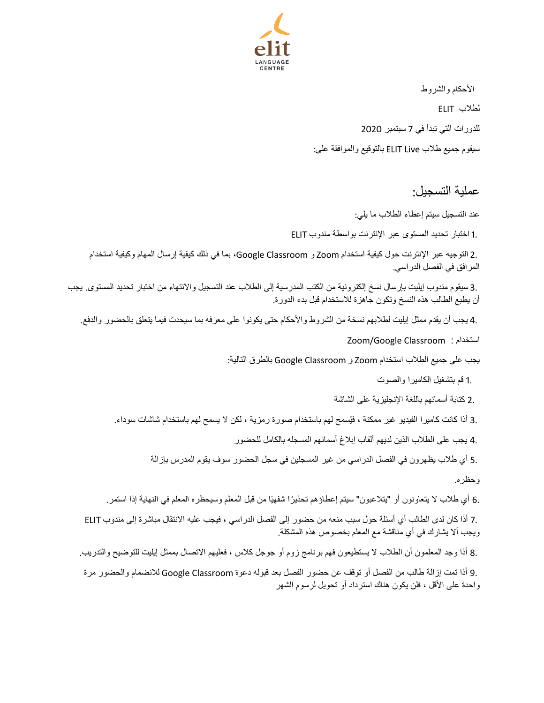

 الأحكام والشروط لطلاب ELIT للدورات التي تبدأ في 7 سبتمبر 2020 سیقوم جمیع طلاب Live ELIT بالتوقیع والموافقة على:

عملیة التسجیل:

عند التسجیل سیتم إعطاء الطلاب ما یلي:

1. اختبار تحدید المستوى عبر الإنترنت بواسطة مندوب ELIT

 2. التوجیھ عبر الإنترنت حول كیفیة استخدام Zoom و Classroom Google، بما في ذلك كیفیة إرسال المھام وكیفیة استخدام المرافق في الفصل الدراسي.

 3. سیقوم مندوب إیلیت بإرسال نسخ إلكترونیة من الكتب المدرسیة إلى الطلاب عند التسجیل والانتھاء من اختبار تحدید المستوى. یجب أن یطبع الطالب ھذه النسخ وتكون جاھزة للاستخدام قبل بدء الدورة.

4. یجب أن یقدم ممثل إیلیت لطلابھم نسخة من الشروط والأحكام حتى یكونوا على معرفھ بما سیحدث فیما یتعلق بالحضور والدفع .

Zoom/Google Classroom : استخدام

یجب على جمیع الطلاب استخدام Zoom و Classroom Google بالطرق التالیة:

1. قم بتشغیل الكامیرا والصوت

2. كتابة أسمائھم باللغة الإنجلیزیة على الشاشة

3. أذا كانت كاميرا الفيديو غير ممكنة ، فيُسمح لهم باستخدام صورة رمزية ، لكن لا يسمح لهم باستخدام شاشات سوداء.

4. یجب على الطلاب الذین لدیھم ألقاب إبلاغ أسمائھم المسجلھ بالكامل للحضور

5. أي طلاب یظھرون في الفصل الدراسي من غیر المسجلین في سجل الحضور سوف یقوم المدرس بإزالة

وحظره.

.6 أي طلاب لا يتعاونون أو "يتلاعبون" سيتم إعطاؤهم تحذيرًا شفهيًا من قبل المعلم وسيحظره المعلم في النهاية إذا استمر ـ

 7. أذا كان لدى الطالب أي أسئلة حول سبب منعھ من حضور إلى الفصل الدراسي ، فیجب علیھ الانتقال مباشرة إلى مندوب ELIT ویجب ألا یشارك في أي مناقشة مع المعلم بخصوص ھذه المشكلة.

8. أذا وجد المعلمون أن الطلاب لا یستطیعون فھم برنامج زوم أو جوجل كلاس ، فعلیھم الاتصال بممثل إیلیت للتوضیح والتدریب.

 9. أذا تمت إزالة طالب من الفصل أو توقف عن حضور الفصل بعد قبولھ دعوة Classroom Google للانضمام والحضور مرة واحدة على الأقل ، فلن یكون ھناك استرداد أو تحویل لرسوم الشھر